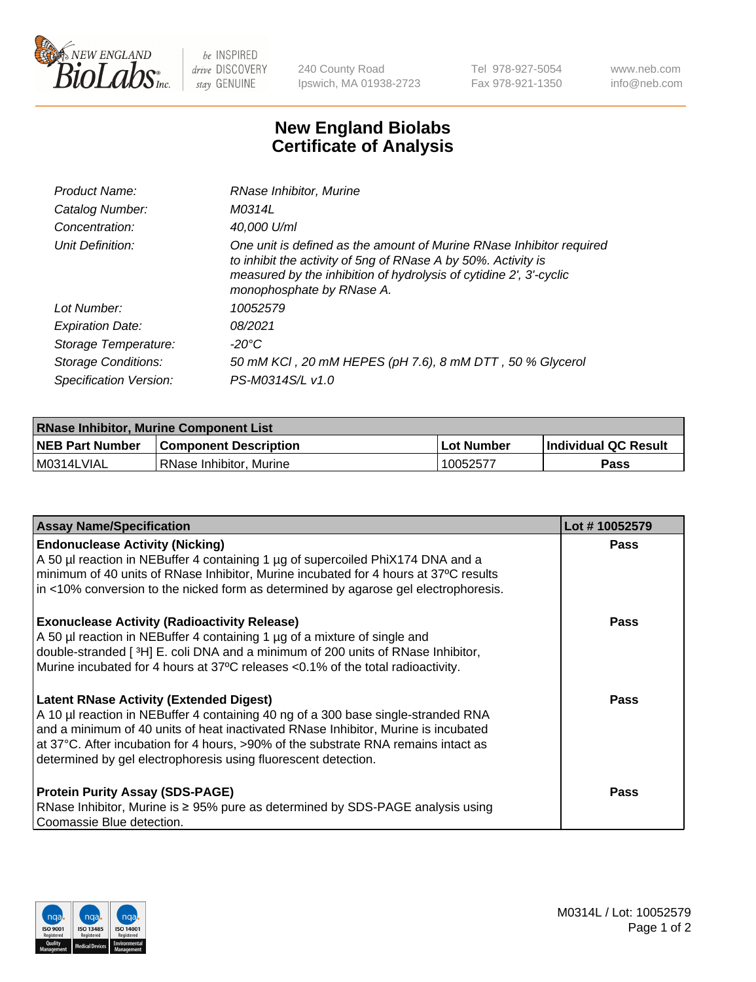

 $be$  INSPIRED drive DISCOVERY stay GENUINE

240 County Road Ipswich, MA 01938-2723 Tel 978-927-5054 Fax 978-921-1350 www.neb.com info@neb.com

## **New England Biolabs Certificate of Analysis**

| Product Name:              | RNase Inhibitor, Murine                                                                                                                                                                                                                  |
|----------------------------|------------------------------------------------------------------------------------------------------------------------------------------------------------------------------------------------------------------------------------------|
| Catalog Number:            | M0314L                                                                                                                                                                                                                                   |
| Concentration:             | 40,000 U/ml                                                                                                                                                                                                                              |
| Unit Definition:           | One unit is defined as the amount of Murine RNase Inhibitor required<br>to inhibit the activity of 5ng of RNase A by 50%. Activity is<br>measured by the inhibition of hydrolysis of cytidine 2', 3'-cyclic<br>monophosphate by RNase A. |
| Lot Number:                | 10052579                                                                                                                                                                                                                                 |
| <b>Expiration Date:</b>    | 08/2021                                                                                                                                                                                                                                  |
| Storage Temperature:       | -20°C                                                                                                                                                                                                                                    |
| <b>Storage Conditions:</b> | 50 mM KCl, 20 mM HEPES (pH 7.6), 8 mM DTT, 50 % Glycerol                                                                                                                                                                                 |
| Specification Version:     | PS-M0314S/L v1.0                                                                                                                                                                                                                         |

| <b>RNase Inhibitor, Murine Component List</b> |                              |                   |                             |  |
|-----------------------------------------------|------------------------------|-------------------|-----------------------------|--|
| <b>NEB Part Number</b>                        | <b>Component Description</b> | <b>Lot Number</b> | <b>Individual QC Result</b> |  |
| M0314LVIAL                                    | RNase Inhibitor, Murine      | 10052577          | <b>Pass</b>                 |  |

| <b>Assay Name/Specification</b>                                                                                                                                                                                                                                                                                                                                                   | Lot #10052579 |
|-----------------------------------------------------------------------------------------------------------------------------------------------------------------------------------------------------------------------------------------------------------------------------------------------------------------------------------------------------------------------------------|---------------|
| <b>Endonuclease Activity (Nicking)</b><br>A 50 µl reaction in NEBuffer 4 containing 1 µg of supercoiled PhiX174 DNA and a                                                                                                                                                                                                                                                         | <b>Pass</b>   |
| minimum of 40 units of RNase Inhibitor, Murine incubated for 4 hours at 37°C results<br>in <10% conversion to the nicked form as determined by agarose gel electrophoresis.                                                                                                                                                                                                       |               |
| <b>Exonuclease Activity (Radioactivity Release)</b><br>A 50 µl reaction in NEBuffer 4 containing 1 µg of a mixture of single and<br>double-stranded [3H] E. coli DNA and a minimum of 200 units of RNase Inhibitor,<br>Murine incubated for 4 hours at 37°C releases <0.1% of the total radioactivity.                                                                            | <b>Pass</b>   |
| <b>Latent RNase Activity (Extended Digest)</b><br>A 10 µl reaction in NEBuffer 4 containing 40 ng of a 300 base single-stranded RNA<br>and a minimum of 40 units of heat inactivated RNase Inhibitor, Murine is incubated<br>at 37°C. After incubation for 4 hours, >90% of the substrate RNA remains intact as<br>determined by gel electrophoresis using fluorescent detection. | <b>Pass</b>   |
| <b>Protein Purity Assay (SDS-PAGE)</b><br>RNase Inhibitor, Murine is ≥ 95% pure as determined by SDS-PAGE analysis using<br>Coomassie Blue detection.                                                                                                                                                                                                                             | Pass          |